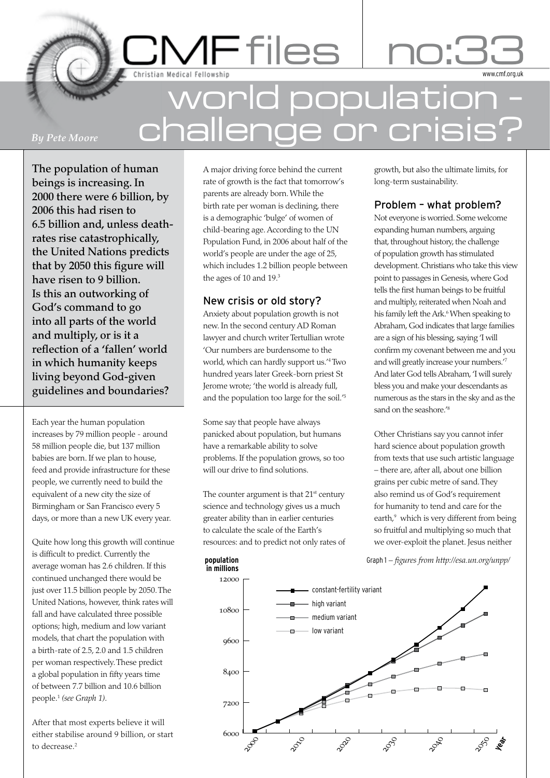**CMF** files .<br>Christian Medical Fellowship

# world population – challenge or crisis?

### *By Pete Moore*

The population of human beings is increasing. In 2000 there were 6 billion, by 2006 this had risen to 6.5 billion and, unless deathrates rise catastrophically, the United Nations predicts that by 2050 this figure will have risen to 9 billion. Is this an outworking of God's command to go into all parts of the world and multiply, or is it a reflection of a 'fallen' world in which humanity keeps living beyond God-given guidelines and boundaries?

Each year the human population increases by 79 million people - around 58 million people die, but 137 million babies are born. If we plan to house, feed and provide infrastructure for these people, we currently need to build the equivalent of a new city the size of Birmingham or San Francisco every 5 days, or more than a new UK every year.

Quite how long this growth will continue is difficult to predict. Currently the average woman has 2.6 children. If this continued unchanged there would be just over 11.5 billion people by 2050. The United Nations, however, think rates will fall and have calculated three possible options; high, medium and low variant models, that chart the population with a birth-rate of 2.5, 2.0 and 1.5 children per woman respectively. These predict a global population in fifty years time of between 7.7 billion and 10.6 billion people.1 *(see Graph 1)*.

After that most experts believe it will either stabilise around 9 billion, or start to decrease<sup>2</sup>

A major driving force behind the current rate of growth is the fact that tomorrow's parents are already born. While the birth rate per woman is declining, there is a demographic 'bulge' of women of child-bearing age. According to the UN Population Fund, in 2006 about half of the world's people are under the age of 25, which includes 1.2 billion people between the ages of 10 and 19.<sup>3</sup>

## New crisis or old story?

Anxiety about population growth is not new. In the second century AD Roman lawyer and church writer Tertullian wrote 'Our numbers are burdensome to the world, which can hardly support us.'4 Two hundred years later Greek-born priest St Jerome wrote; 'the world is already full, and the population too large for the soil.'5

Some say that people have always panicked about population, but humans have a remarkable ability to solve problems. If the population grows, so too will our drive to find solutions.

The counter argument is that  $21<sup>st</sup>$  century science and technology gives us a much greater ability than in earlier centuries to calculate the scale of the Earth's resources: and to predict not only rates of

**population**

growth, but also the ultimate limits, for long-term sustainability.

www.cmf.org.uk

# Problem – what problem?

Not everyone is worried. Some welcome expanding human numbers, arguing that, throughout history, the challenge of population growth has stimulated development. Christians who take this view point to passages in Genesis, where God tells the first human beings to be fruitful and multiply, reiterated when Noah and his family left the Ark.<sup>6</sup> When speaking to Abraham, God indicates that large families are a sign of his blessing, saying 'I will confirm my covenant between me and you and will greatly increase your numbers.'7 And later God tells Abraham, 'I will surely bless you and make your descendants as numerous as the stars in the sky and as the sand on the seashore.'8

Other Christians say you cannot infer hard science about population growth from texts that use such artistic language – there are, after all, about one billion grains per cubic metre of sand. They also remind us of God's requirement for humanity to tend and care for the earth,<sup>9</sup> which is very different from being so fruitful and multiplying so much that we over-exploit the planet. Jesus neither

Graph 1 – *fi gures from http://esa.un.org/unpp/*

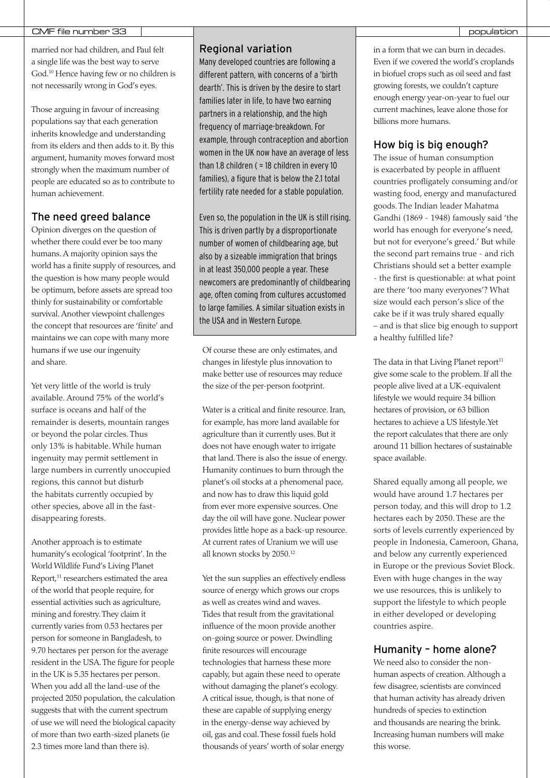### CMF file number 33 population and the contract of the contract of the contract of the contract of the contract of the contract of the contract of the contract of the contract of the contract of the contract of the contract

married nor had children, and Paul felt a single life was the best way to serve God.10 Hence having few or no children is not necessarily wrong in God's eyes.

Those arguing in favour of increasing populations say that each generation inherits knowledge and understanding from its elders and then adds to it. By this argument, humanity moves forward most strongly when the maximum number of people are educated so as to contribute to human achievement.

### The need greed balance

Opinion diverges on the question of whether there could ever be too many humans. A majority opinion says the world has a finite supply of resources, and the question is how many people would be optimum, before assets are spread too thinly for sustainability or comfortable survival. Another viewpoint challenges the concept that resources are 'finite' and maintains we can cope with many more humans if we use our ingenuity and share.

Yet very little of the world is truly available. Around 75% of the world's surface is oceans and half of the remainder is deserts, mountain ranges or beyond the polar circles. Thus only 13% is habitable. While human ingenuity may permit settlement in large numbers in currently unoccupied regions, this cannot but disturb the habitats currently occupied by other species, above all in the fastdisappearing forests.

Another approach is to estimate humanity's ecological 'footprint'. In the World Wildlife Fund's Living Planet Report,<sup>11</sup> researchers estimated the area of the world that people require, for essential activities such as agriculture, mining and forestry. They claim it currently varies from 0.53 hectares per person for someone in Bangladesh, to 9.70 hectares per person for the average resident in the USA. The figure for people in the UK is 5.35 hectares per person. When you add all the land-use of the projected 2050 population, the calculation suggests that with the current spectrum of use we will need the biological capacity of more than two earth-sized planets (ie 2.3 times more land than there is).

### Regional variation

Many developed countries are following a different pattern, with concerns of a 'birth dearth'. This is driven by the desire to start families later in life, to have two earning partners in a relationship, and the high frequency of marriage-breakdown. For example, through contraception and abortion women in the UK now have an average of less than 1.8 children ( = 18 children in every 10 families), a figure that is below the 2.1 total fertility rate needed for a stable population.

Even so, the population in the UK is still rising. This is driven partly by a disproportionate number of women of childbearing age, but also by a sizeable immigration that brings in at least 350,000 people a year. These newcomers are predominantly of childbearing age, often coming from cultures accustomed to large families. A similar situation exists in the USA and in Western Europe.

Of course these are only estimates, and changes in lifestyle plus innovation to make better use of resources may reduce the size of the per-person footprint.

Water is a critical and finite resource. Iran, for example, has more land available for agriculture than it currently uses. But it does not have enough water to irrigate that land. There is also the issue of energy. Humanity continues to burn through the planet's oil stocks at a phenomenal pace, and now has to draw this liquid gold from ever more expensive sources. One day the oil will have gone. Nuclear power provides little hope as a back-up resource. At current rates of Uranium we will use all known stocks by 2050.12

Yet the sun supplies an effectively endless source of energy which grows our crops as well as creates wind and waves. Tides that result from the gravitational influence of the moon provide another on-going source or power. Dwindling finite resources will encourage technologies that harness these more capably, but again these need to operate without damaging the planet's ecology. A critical issue, though, is that none of these are capable of supplying energy in the energy-dense way achieved by oil, gas and coal. These fossil fuels hold thousands of years' worth of solar energy in a form that we can burn in decades. Even if we covered the world's croplands in biofuel crops such as oil seed and fast growing forests, we couldn't capture enough energy year-on-year to fuel our current machines, leave alone those for billions more humans.

### How big is big enough?

The issue of human consumption is exacerbated by people in affluent countries profligately consuming and/or wasting food, energy and manufactured goods. The Indian leader Mahatma Gandhi (1869 - 1948) famously said 'the world has enough for everyone's need, but not for everyone's greed.' But while the second part remains true - and rich Christians should set a better example - the first is questionable: at what point are there 'too many everyones'? What size would each person's slice of the cake be if it was truly shared equally – and is that slice big enough to support a healthy fulfilled life?

The data in that Living Planet report $11$ give some scale to the problem. If all the people alive lived at a UK-equivalent lifestyle we would require 34 billion hectares of provision, or 63 billion hectares to achieve a US lifestyle. Yet the report calculates that there are only around 11 billion hectares of sustainable space available.

Shared equally among all people, we would have around 1.7 hectares per person today, and this will drop to 1.2 hectares each by 2050. These are the sorts of levels currently experienced by people in Indonesia, Cameroon, Ghana, and below any currently experienced in Europe or the previous Soviet Block. Even with huge changes in the way we use resources, this is unlikely to support the lifestyle to which people in either developed or developing countries aspire.

### Humanity – home alone?

We need also to consider the nonhuman aspects of creation. Although a few disagree, scientists are convinced that human activity has already driven hundreds of species to extinction and thousands are nearing the brink. Increasing human numbers will make this worse.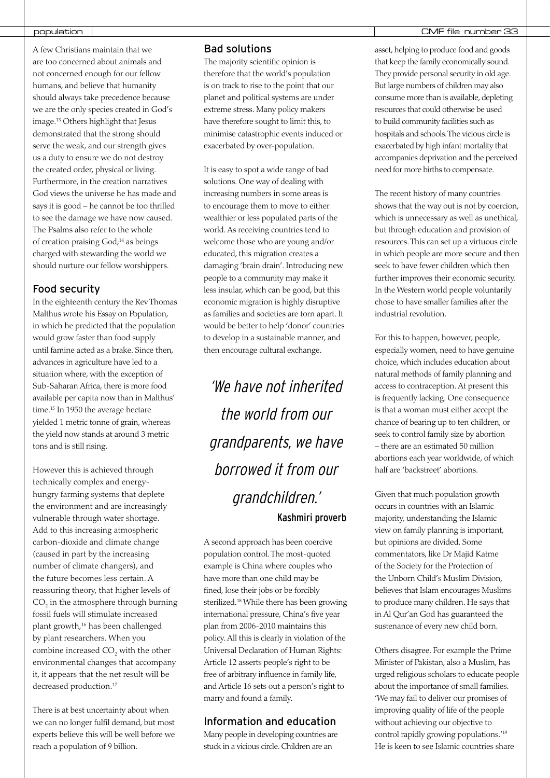A few Christians maintain that we are too concerned about animals and not concerned enough for our fellow humans, and believe that humanity should always take precedence because we are the only species created in God's image.13 Others highlight that Jesus demonstrated that the strong should serve the weak, and our strength gives us a duty to ensure we do not destroy the created order, physical or living. Furthermore, in the creation narratives God views the universe he has made and says it is good – he cannot be too thrilled to see the damage we have now caused. The Psalms also refer to the whole of creation praising God;14 as beings charged with stewarding the world we should nurture our fellow worshippers.

### Food security

In the eighteenth century the Rev Thomas Malthus wrote his Essay on Population, in which he predicted that the population would grow faster than food supply until famine acted as a brake. Since then, advances in agriculture have led to a situation where, with the exception of Sub-Saharan Africa, there is more food available per capita now than in Malthus' time.<sup>15</sup> In 1950 the average hectare yielded 1 metric tonne of grain, whereas the yield now stands at around 3 metric tons and is still rising.

However this is achieved through technically complex and energyhungry farming systems that deplete the environment and are increasingly vulnerable through water shortage. Add to this increasing atmospheric carbon-dioxide and climate change (caused in part by the increasing number of climate changers), and the future becomes less certain. A reassuring theory, that higher levels of  $\mathrm{CO}_2$  in the atmosphere through burning fossil fuels will stimulate increased plant growth,16 has been challenged by plant researchers. When you combine increased  $\mathrm{CO}_2$  with the other environmental changes that accompany it, it appears that the net result will be decreased production.<sup>17</sup>

There is at best uncertainty about when we can no longer fulfil demand, but most experts believe this will be well before we reach a population of 9 billion.

### Bad solutions

The majority scientific opinion is therefore that the world's population is on track to rise to the point that our planet and political systems are under extreme stress. Many policy makers have therefore sought to limit this, to minimise catastrophic events induced or exacerbated by over-population.

It is easy to spot a wide range of bad solutions. One way of dealing with increasing numbers in some areas is to encourage them to move to either wealthier or less populated parts of the world. As receiving countries tend to welcome those who are young and/or educated, this migration creates a damaging 'brain drain'. Introducing new people to a community may make it less insular, which can be good, but this economic migration is highly disruptive as families and societies are torn apart. It would be better to help 'donor' countries to develop in a sustainable manner, and then encourage cultural exchange.

'We have not inherited the world from our grandparents, we have borrowed it from our grandchildren.' Kashmiri proverb

A second approach has been coercive population control. The most-quoted example is China where couples who have more than one child may be fined, lose their jobs or be forcibly sterilized.18 While there has been growing international pressure, China's five year plan from 2006-2010 maintains this policy. All this is clearly in violation of the Universal Declaration of Human Rights: Article 12 asserts people's right to be free of arbitrary influence in family life, and Article 16 sets out a person's right to marry and found a family.

### Information and education

Many people in developing countries are stuck in a vicious circle. Children are an

### population | CMF file number 33

asset, helping to produce food and goods that keep the family economically sound. They provide personal security in old age. But large numbers of children may also consume more than is available, depleting resources that could otherwise be used to build community facilities such as hospitals and schools. The vicious circle is exacerbated by high infant mortality that accompanies deprivation and the perceived need for more births to compensate.

The recent history of many countries shows that the way out is not by coercion, which is unnecessary as well as unethical, but through education and provision of resources. This can set up a virtuous circle in which people are more secure and then seek to have fewer children which then further improves their economic security. In the Western world people voluntarily chose to have smaller families after the industrial revolution.

For this to happen, however, people, especially women, need to have genuine choice, which includes education about natural methods of family planning and access to contraception. At present this is frequently lacking. One consequence is that a woman must either accept the chance of bearing up to ten children, or seek to control family size by abortion – there are an estimated 50 million abortions each year worldwide, of which half are 'backstreet' abortions.

Given that much population growth occurs in countries with an Islamic majority, understanding the Islamic view on family planning is important, but opinions are divided. Some commentators, like Dr Majid Katme of the Society for the Protection of the Unborn Child's Muslim Division, believes that Islam encourages Muslims to produce many children. He says that in Al Qur'an God has guaranteed the sustenance of every new child born.

Others disagree. For example the Prime Minister of Pakistan, also a Muslim, has urged religious scholars to educate people about the importance of small families. 'We may fail to deliver our promises of improving quality of life of the people without achieving our objective to control rapidly growing populations.'19 He is keen to see Islamic countries share